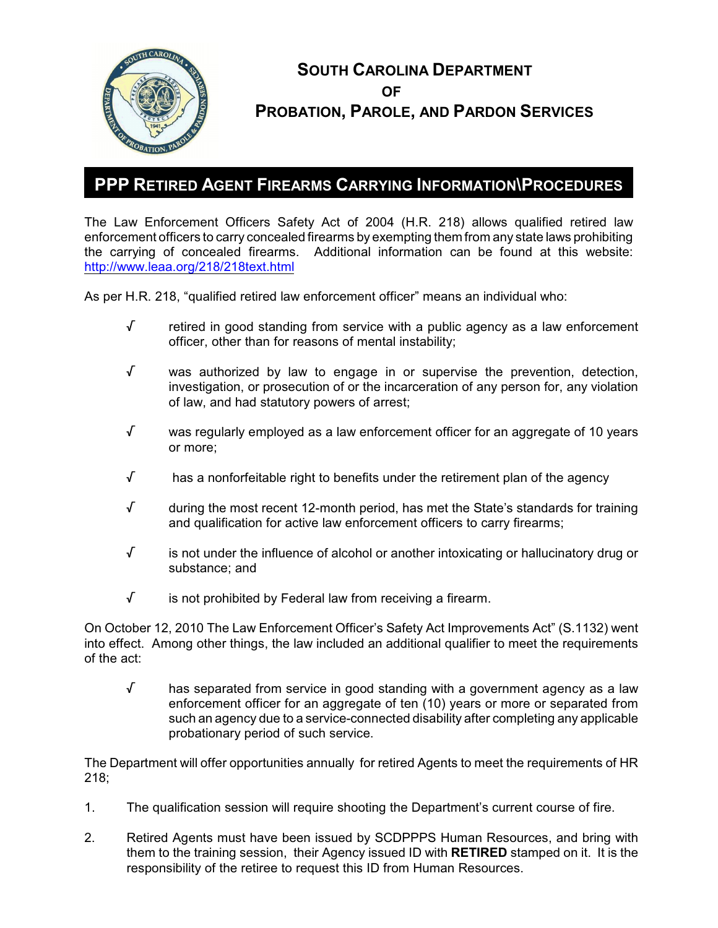

# **SOUTH CAROLINA DEPARTMENT OF PROBATION, PAROLE, AND PARDON SERVICES**

## **PPP RETIRED AGENT FIREARMS CARRYING INFORMATION\PROCEDURES**

The Law Enforcement Officers Safety Act of 2004 (H.R. 218) allows qualified retired law enforcement officers to carry concealed firearms by exempting them from any state laws prohibiting the carrying of concealed firearms. Additional information can be found at this website: <http://www.leaa.org/218/218text.html>

As per H.R. 218, "qualified retired law enforcement officer" means an individual who:

- $\sqrt{ }$  retired in good standing from service with a public agency as a law enforcement officer, other than for reasons of mental instability;
- $\sqrt{ }$  was authorized by law to engage in or supervise the prevention, detection, investigation, or prosecution of or the incarceration of any person for, any violation of law, and had statutory powers of arrest;
- $\sqrt{ }$  was regularly employed as a law enforcement officer for an aggregate of 10 years or more;
- $\sqrt{ }$  has a nonforfeitable right to benefits under the retirement plan of the agency
- $\sqrt{ }$  during the most recent 12-month period, has met the State's standards for training and qualification for active law enforcement officers to carry firearms;
- $\sqrt{ }$  is not under the influence of alcohol or another intoxicating or hallucinatory drug or substance; and
- $\sqrt{ }$  is not prohibited by Federal law from receiving a firearm.

On October 12, 2010 The Law Enforcement Officer's Safety Act Improvements Act" (S.1132) went into effect. Among other things, the law included an additional qualifier to meet the requirements of the act:

 $\sqrt{ }$  has separated from service in good standing with a government agency as a law enforcement officer for an aggregate of ten (10) years or more or separated from such an agency due to a service-connected disability after completing any applicable probationary period of such service.

The Department will offer opportunities annually for retired Agents to meet the requirements of HR 218;

- 1. The qualification session will require shooting the Department's current course of fire.
- 2. Retired Agents must have been issued by SCDPPPS Human Resources, and bring with them to the training session, their Agency issued ID with **RETIRED** stamped on it. It is the responsibility of the retiree to request this ID from Human Resources.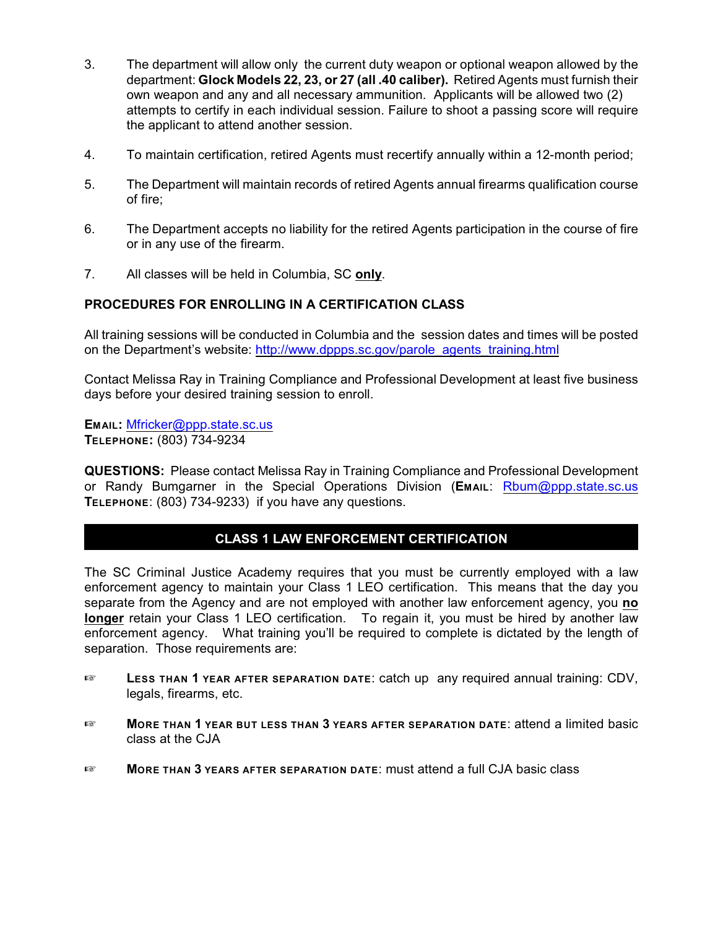- 3. The department will allow only the current duty weapon or optional weapon allowed by the department: **Glock Models 22, 23, or 27 (all .40 caliber).** Retired Agents must furnish their own weapon and any and all necessary ammunition. Applicants will be allowed two (2) attempts to certify in each individual session. Failure to shoot a passing score will require the applicant to attend another session.
- 4. To maintain certification, retired Agents must recertify annually within a 12-month period;
- 5. The Department will maintain records of retired Agents annual firearms qualification course of fire;
- 6. The Department accepts no liability for the retired Agents participation in the course of fire or in any use of the firearm.
- 7. All classes will be held in Columbia, SC **only**.

### **PROCEDURES FOR ENROLLING IN A CERTIFICATION CLASS**

All training sessions will be conducted in Columbia and the session dates and times will be posted on the Department's website: [http://www.dppps.sc.gov/parole\\_agents\\_training.html](http://www.dppps.sc.gov/parole_agents_training.html)

Contact Melissa Ray in Training Compliance and Professional Development at least five business days before your desired training session to enroll.

**EMAIL:** [Mfricker@ppp.state.sc.us](mailto:Mfricker@ppp.state.sc.us) **TELEPHONE:** (803) 734-9234

**QUESTIONS:** Please contact Melissa Ray in Training Compliance and Professional Development or Randy Bumgarner in the Special Operations Division (**EMAIL**: [Rbum@ppp.state.sc.us](mailto:Rbum@ppp.state.sc.us) **TELEPHONE**: (803) 734-9233) if you have any questions.

#### **CLASS 1 LAW ENFORCEMENT CERTIFICATION**

The SC Criminal Justice Academy requires that you must be currently employed with a law enforcement agency to maintain your Class 1 LEO certification. This means that the day you separate from the Agency and are not employed with another law enforcement agency, you **no longer** retain your Class 1 LEO certification. To regain it, you must be hired by another law enforcement agency. What training you'll be required to complete is dictated by the length of separation. Those requirements are:

- **EXECUTE:** LESS THAN 1 YEAR AFTER SEPARATION DATE: catch up any required annual training: CDV, legals, firearms, etc.
- $E^*$  **More than 1 year but less than 3 years after separation date: attend a limited basic** class at the CJA
- **MORE THAN 3 YEARS AFTER SEPARATION DATE: must attend a full CJA basic class**